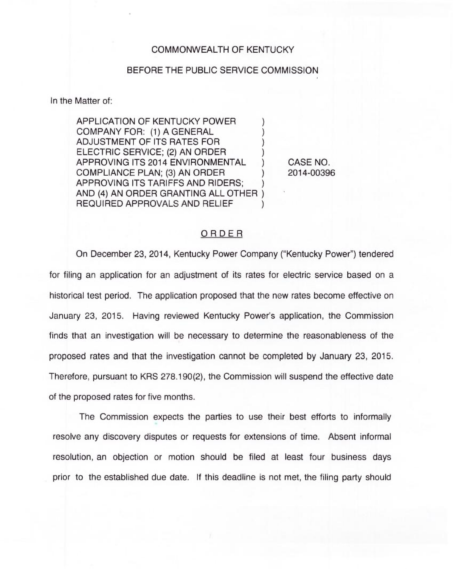### COMMONWEALTH OF KENTUCKY

#### BEFORE THE PUBLIC SERVICE COMMISSION

In the Matter of:

APPLICATION OF KENTUCKY POWER COMPANY FOR: (1) A GENERAL ADJUSTMENT OF ITS RATES FOR ) ELECTRIC SERVICE; (2) AN ORDER ) APPROVING ITS 2014 ENVIRONMENTAL COMPLIANCE PLAN; (3) AN ORDER ) APPROVING ITS TARIFFS AND RIDERS; ) AND (4) AN ORDER GRANTING ALL OTHER ) REQUIRED APPROVALS AND RELIEF

CASE NO. 2014-00396

I

#### ORDER

On December 23, 2014, Kentucky Power Company ("Kentucky Power") tendere for filing an application for an adjustment of its rates for electric service based on a historical test period. The application proposed that the new rates become effective on January 23, 2015. Having reviewed Kentucky Power's application, the Commission finds that an investigation will be necessary to determine the reasonableness of the proposed rates and that the investigation cannot be completed by January 23, 2015. Therefore, pursuant to KRS 278.190(2), the Commission will suspend the effective date of the proposed rates for five months.

The Commission expects the parties to use their best efforts to informally resolve any discovery disputes or requests for extensions of time. Absent informal resolution, an objection or motion should be filed at least four business days prior to the established due date. If this deadline is not met, the filing party should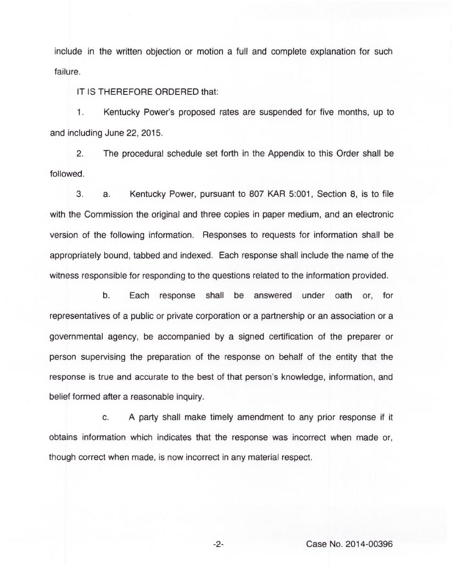include in the written objection or motion a full and complete explanation for such failure.

IT IS THEREFORE ORDERED that:

1. Kentucky Power's proposed rates are suspended for five months, up to and including June 22, 2015.

2. The procedural schedule set forth in the Appendix to this Order shall be followed.

3. a. Kentucky Power, pursuant to 807 KAR 5:001, Section 8, is to file with the Commission the original and three copies in paper medium, and an electronic version of the following information. Responses to requests for information shall be appropriately bound, tabbed and indexed. Each response shall include the name of the witness responsible for responding to the questions related to the information provided.

b. Each response shall be answered under oath or, for representatives of a public or private corporation or a partnership or an association or a governmental agency, be accompanied by a signed certification of the preparer or person supervising the preparation of the response on behalf of the entity that the response is true and accurate to the best of that person's knowledge, information, and belief formed after a reasonable inquiry.

c. <sup>A</sup> party shall make timely amendment to any prior response if it obtains information which indicates that the response was incorrect when made or, though correct when made, is now incorrect in any material respect.

-2- Case No. 2014-00396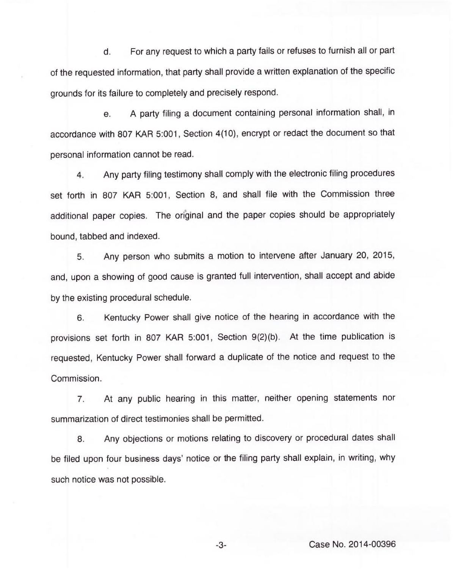For any request to which a party fails or refuses to furnish all or part d. of the requested information, that party shall provide a written explanation of the specific grounds for its failure to completely and precisely respond.

e. A party filing a document containing personal information shall, in accordance with 807 KAR 5:001, Section 4(10), encrypt or redact the document so that personal information cannot be read.

4. Any party filing testimony shall comply with the electronic filing procedures set forth in 807 KAR 5:001, Section 8, and shall file with the Commission three additional paper copies. The original and the paper copies should be appropriately bound, tabbed and indexed.

5. Any person who submits a motion to intervene after January 20, 2015, and, upon a showing of good cause is granted full intervention, shall accept and abide by the existing procedural schedule.

6. Kentucky Power shall give notice of the hearing in accordance with the provisions set forth in 807 KAR 5:001, Section 9(2)(b). At the time publication is requested, Kentucky Power shall forward a duplicate of the notice and request to the Commission.

7. At any public hearing in this matter, neither opening statements nor summarization of direct testimonies shall be permitted.

8. Any objections or motions relating to discovery or procedural dates shall be filed upon four business days' notice or the filing party shall explain, in writing, why such notice was not possible.

-3- Case No. 2014-00396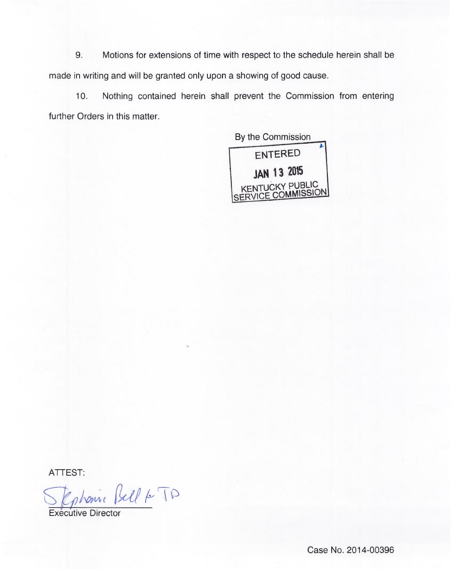9. Motions for extensions of time with respect to the schedule herein shall be made in writing and will be granted only upon a showing of good cause.

10. Nothing contained herein shall prevent the Commission from enterin further Orders in this matter.

> By the Commission ENTERED )AN 13 205 KENTUCKY PUBLIC SERVICE COMMISSION

ATTEST

Ephonic Bell & TD

Executive Director

Case No. 2014-00396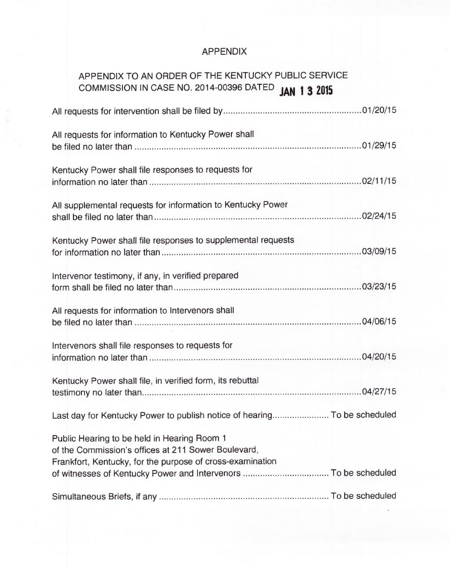## APPENDIX

# APPENDIX TO AN ORDER OF THE KENTUCKY PUBLIC SERVICE COMMISSION IN CASE NO. 2014-00396 DATED **JAN 1 3 2019**

| All requests for information to Kentucky Power shall                                                                                                            |  |
|-----------------------------------------------------------------------------------------------------------------------------------------------------------------|--|
| Kentucky Power shall file responses to requests for                                                                                                             |  |
| All supplemental requests for information to Kentucky Power                                                                                                     |  |
| Kentucky Power shall file responses to supplemental requests                                                                                                    |  |
| Intervenor testimony, if any, in verified prepared                                                                                                              |  |
| All requests for information to Intervenors shall                                                                                                               |  |
| Intervenors shall file responses to requests for                                                                                                                |  |
| Kentucky Power shall file, in verified form, its rebuttal                                                                                                       |  |
| Last day for Kentucky Power to publish notice of hearing To be scheduled                                                                                        |  |
| Public Hearing to be held in Hearing Room 1<br>of the Commission's offices at 211 Sower Boulevard,<br>Frankfort, Kentucky, for the purpose of cross-examination |  |
|                                                                                                                                                                 |  |